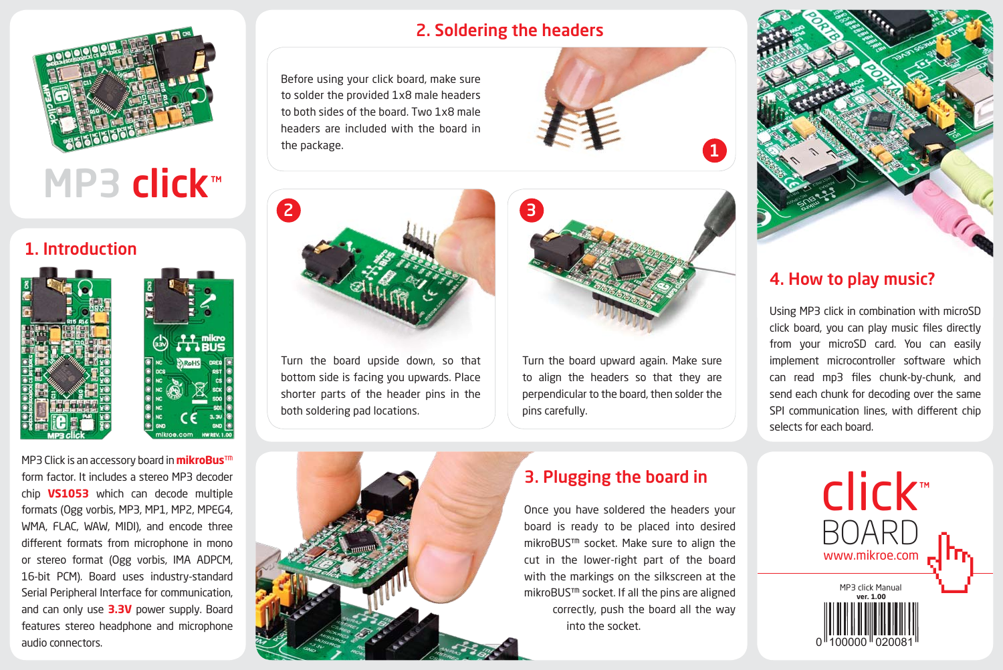

# MP3 click™

### 1. Introduction





MP3 Click is an accessory board in **mikroBus**™ form factor. It includes a stereo MP3 decoder chip **VS1053** which can decode multiple formats (Ogg vorbis, MP3, MP1, MP2, MPEG4, WMA, FLAC, WAW, MIDI), and encode three different formats from microphone in mono or stereo format (Ogg vorbis, IMA ADPCM, 16-bit PCM). Board uses industry-standard Serial Peripheral Interface for communication, and can only use **3.3V** power supply. Board features stereo headphone and microphone audio connectors.

# 2. Soldering the headers

Before using your click board, make sure to solder the provided 1x8 male headers to both sides of the board. Two 1x8 male headers are included with the board in the package.





Turn the board upward again. Make sure to align the headers so that they are perpendicular to the board, then solder the pins carefully. Turn the board upside down, so that bottom side is facing you upwards. Place shorter parts of the header pins in the both soldering pad locations.



# 3. Plugging the board in

Once you have soldered the headers your board is ready to be placed into desired mikroBUS™ socket. Make sure to align the cut in the lower-right part of the board with the markings on the silkscreen at the mikroBUS™ socket. If all the pins are aligned correctly, push the board all the way into the socket.



# 4. How to play music?

Using MP3 click in combination with microSD click board, you can play music files directly from your microSD card. You can easily implement microcontroller software which can read mp3 files chunk-by-chunk, and send each chunk for decoding over the same SPI communication lines, with different chip selects for each board.